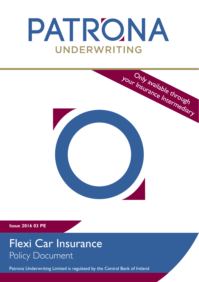# PATRONA UNDERWRITING



**Issue 2016 03 PE**

## Flexi Car Insurance Policy Document

Patrona Underwriting Limited is regulated by the Central Bank of Ireland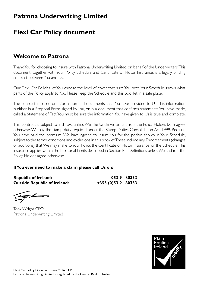### **Patrona Underwriting Limited**

### **Flexi Car Policy document**

### **Welcome to Patrona**

Thank You for choosing to insure with Patrona Underwriting Limited, on behalf of the Underwriters. This document, together with Your Policy Schedule and Certificate of Motor Insurance, is a legally binding contract between You and Us.

Our Flexi Car Policies let You choose the level of cover that suits You best. Your Schedule shows what parts of the Policy apply to You. Please keep the Schedule and this booklet in a safe place.

The contract is based on information and documents that You have provided to Us. This information is either in a Proposal Form signed by You, or in a document that confirms statements You have made, called a Statement of Fact. You must be sure the information You have given to Us is true and complete.

This contract is subject to Irish law, unless We, the Underwriter, and You, the Policy Holder, both agree otherwise. We pay the stamp duty required under the Stamp Duties Consolidation Act, 1999. Because You have paid the premium, We have agreed to insure You for the period shown in Your Schedule, subject to the terms, conditions and exclusions in this booklet. These include any Endorsements (changes or additions) that We may make to Your Policy, the Certificate of Motor Insurance, or the Schedule. This insurance applies within the Territorial Limits described in Section B – Definitions unless We and You, the Policy Holder, agree otherwise.

#### **If You ever need to make a claim please call Us on:**

**Republic of Ireland: 053 91 80333 Outside Republic of Ireland: +353 (0)53 91 80333**

Tony Wright CEO Patrona Underwriting Limited

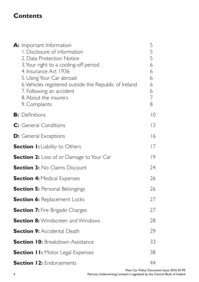### **Contents**

| A: Important Information<br>I. Disclosure of information<br>2. Data Protection Notice<br>3. Your right to a cooling-off period<br>4. Insurance Act 1936<br>5. Using Your Car abroad<br>6. Vehicles registered outside the Republic of Ireland<br>7. Following an accident<br>8. About the insurers<br>9. Complaints | 5<br>5<br>5<br>6<br>6<br>6<br>6<br>6<br>$\overline{7}$<br>8 |
|---------------------------------------------------------------------------------------------------------------------------------------------------------------------------------------------------------------------------------------------------------------------------------------------------------------------|-------------------------------------------------------------|
| <b>B:</b> Definitions                                                                                                                                                                                                                                                                                               | $ 0\rangle$                                                 |
| C: General Conditions                                                                                                                                                                                                                                                                                               | 3                                                           |
| <b>D:</b> General Exceptions                                                                                                                                                                                                                                                                                        | 16                                                          |
| <b>Section I:</b> Liability to Others                                                                                                                                                                                                                                                                               | 7                                                           |
| <b>Section 2:</b> Loss of or Damage to Your Car                                                                                                                                                                                                                                                                     | 9                                                           |
| <b>Section 3: No Claims Discount</b>                                                                                                                                                                                                                                                                                | 24                                                          |
| <b>Section 4: Medical Expenses</b>                                                                                                                                                                                                                                                                                  | 26                                                          |
| <b>Section 5: Personal Belongings</b>                                                                                                                                                                                                                                                                               | 26                                                          |
| <b>Section 6:</b> Replacement Locks                                                                                                                                                                                                                                                                                 | 27                                                          |
| <b>Section 7: Fire Brigade Charges</b>                                                                                                                                                                                                                                                                              | 27                                                          |
| <b>Section 8:</b> Windscreen and Windows                                                                                                                                                                                                                                                                            | 28                                                          |
| <b>Section 9: Accidental Death</b>                                                                                                                                                                                                                                                                                  | 29                                                          |
| <b>Section 10: Breakdown Assistance</b>                                                                                                                                                                                                                                                                             | 33                                                          |
| <b>Section II:</b> Motor Legal Expenses                                                                                                                                                                                                                                                                             | 38                                                          |
| <b>Section 12: Endorsements</b>                                                                                                                                                                                                                                                                                     | 44                                                          |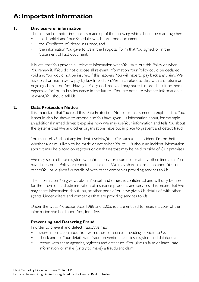### **A: Important Information**

#### **1. Disclosure of information**

The contract of motor insurance is made up of the following which should be read together:

- this booklet and Your Schedule, which form one document,
- the Certificate of Motor Insurance, and
- the information You gave to Us in the Proposal Form that You signed, or in the Statement of Fact document.

It is vital that You provide all relevant information when You take out this Policy or when You renew it. If You do not disclose all relevant information, Your Policy could be declared void and You would not be insured. If this happens, You will have to pay back any claims We have paid or may have to pay by law. In addition, We may refuse to deal with any future or ongoing claims from You. Having a Policy declared void may make it more difficult or more expensive for You to buy insurance in the future. If You are not sure whether information is relevant, You should tell Us.

#### **2. Data Protection Notice**

It is important that You read this Data Protection Notice or that someone explains it to You. It should also be shown to anyone else You have given Us information about, for example an additional named driver. It explains how We may use Your information and tells You about the systems that We and other organisations have put in place to prevent and detect fraud.

You must tell Us about any incident involving Your Car, such as an accident, fire or theft – whether a claim is likely to be made or not. When You tell Us about an incident, information about it may be placed on registers or databases that may be held outside of Our premises.

We may search these registers when You apply for insurance or at any other time after You have taken out a Policy or reported an incident. We may share information about You, or others You have given Us details of, with other companies providing services to Us.

The information You give Us about Yourself and others is confidential and will only be used for the provision and administration of insurance products and services. This means that We may share information about You, or other people You have given Us details of, with other agents, Underwriters and companies that are providing services to Us.

Under the Data Protection Acts 1988 and 2003, You are entitled to receive a copy of the information We hold about You, for a fee.

#### **Preventing and Detecting Fraud**

In order to prevent and detect fraud, We may:

- share information about You with other companies providing services to Us;
- check and file Your details with fraud prevention agencies, registers and databases;
- record with these agencies, registers and databases if You give us false or inaccurate information, or make (or try to make) a fraudulent claim.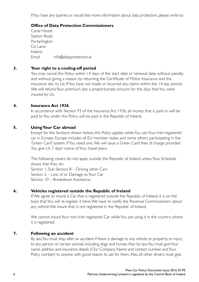If You have any queries or would like more information about data protection, please write to:

#### **Office of Data Protection Commissioners**

Canal House Station Road Portarlington Co Laois Ireland Email: info@dataprotection.ie

#### **3. Your right to a cooling-off period**

You may cancel this Policy within 14 days of the start date or renewal date, without penalty and without giving a reason, by returning the Certificate of Motor Insurance and the insurance disc to Us. If You have not made or incurred any claims within the 14-day period, We will refund Your premium, less a proportionate amount for the days that You were insured by Us.

#### **4. Insurance Act 1936**

In accordance with Section 93 of the Insurance Act 1936, all money that is paid or will be paid to You under this Policy will be paid in the Republic of Ireland.

#### **5. Using Your Car abroad**

Except for the Sections shown below, this Policy applies while You use Your Irish-registered car in Europe. Europe includes all EU member states and some others participating in the 'Green Card' system. If You need one, We will issue a Green Card free of charge provided You give Us 7 days' notice of Your travel plans.

The following covers do not apply outside the Republic of Ireland unless Your Schedule shows that they do: Section 1, Sub-Section B – Driving other Cars Section 2 – Loss of or Damage to Your Car Section 10 – Breakdown Assistance.

#### **6. Vehicles registered outside the Republic of Ireland**

If We agree to insure a Car that is registered outside the Republic of Ireland, it is on the basis that You will re-register it here. We have to notify the Revenue Commissioners about any vehicle We insure that is not registered in the Republic of Ireland.

We cannot insure Your non-Irish registered Car while You are using it in the country where it is registered.

#### **7. Following an accident**

By law, You must stop after an accident if there is damage to any vehicle or property, or injury to any person or certain animals including dogs and horses. Also by law, You must give Your name, address and insurance details (Our Company Name and contact number, and Your Policy number) to anyone with good reason to ask for them. Also, all other drivers must give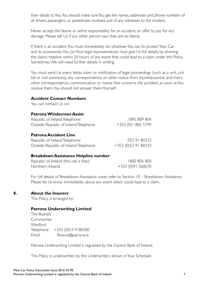their details to You. You should make sure You get the names, addresses and phone numbers of all drivers, passengers, or pedestrians involved, and of any witnesses to the incident.

Never accept the blame or admit responsibility for an accident, or offer to pay for any damage. Please tell Us if any other person says they are to blame.

If there is an accident, You must immediately do whatever You can to protect Your Car and its accessories. You (or Your legal representative) must give Us full details by phoning the claims helpline within 24 hours of any event that could lead to a claim under this Policy. Sometimes, We will need further details in writing.

You must send Us every letter, claim, or notification of legal proceedings (such as a writ, civil bill or civil summons), any correspondence or other notice from Injuriesboard.ie, and every other correspondence, communication or notice that concerns the accident, as soon as You receive them. You should not answer them Yourself.

#### **Accident Contact Numbers**

You can contact Us on:

#### **Patrona Windscreen Assist**

| Republic of Ireland Telephone:         | 1890 809 804        |
|----------------------------------------|---------------------|
| Outside Republic of Ireland Telephone: | +353 (0)   882 5799 |
|                                        |                     |

#### **Patrona Accident Line**

| Republic of Ireland Telephone:         | 053 91 80333        |
|----------------------------------------|---------------------|
| Outside Republic of Ireland Telephone: | +353 (0)53 91 80333 |

#### **Breakdown Assistance Helpline number**

| Republic of Ireland (this call is free): | 1800 806 800      |
|------------------------------------------|-------------------|
| Northern Ireland:                        | +353 (0)91 560670 |

For full details of Breakdown Assistance cover, refer to Section 10 – Breakdown Assistance. Please let Us know immediately about any event which could lead to a claim.

#### **8. About the Insurers**

This Policy is arranged by:

#### **Patrona Underwriting Limited**

The Bushels Cornmarket Wexford Telephone: +353 (0)53 9180300 Email: flexicar@patrona.ie

Patrona Underwriting Limited is regulated by the Central Bank of Ireland.

This Policy is underwritten by the Underwriters shown in Your Schedule.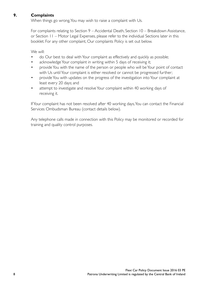#### **9. Complaints**

When things go wrong, You may wish to raise a complaint with Us.

For complaints relating to Section 9 – Accidental Death, Section 10 – Breakdown Assistance, or Section 11 – Motor Legal Expenses, please refer to the individual Sections later in this booklet. For any other complaint, Our complaints Policy is set out below.

We will:

- do Our best to deal with Your complaint as effectively and quickly as possible;
- acknowledge Your complaint in writing within 5 days of receiving it;
- provide You with the name of the person or people who will be Your point of contact with Us until Your complaint is either resolved or cannot be progressed further;
- provide You with updates on the progress of the investigation into Your complaint at least every 20 days; and
- attempt to investigate and resolve Your complaint within 40 working days of receiving it.

If Your complaint has not been resolved after 40 working days, You can contact the Financial Services Ombudsman Bureau (contact details below).

Any telephone calls made in connection with this Policy may be monitored or recorded for training and quality control purposes.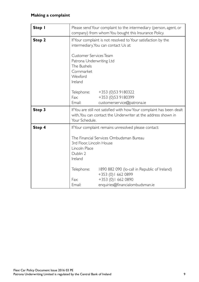#### **Making a complaint**

| Step I |                                                                                                                                                                                                                                    | Please send Your complaint to the intermediary (person, agent, or<br>company) from whom You bought this Insurance Policy.                                                                                        |
|--------|------------------------------------------------------------------------------------------------------------------------------------------------------------------------------------------------------------------------------------|------------------------------------------------------------------------------------------------------------------------------------------------------------------------------------------------------------------|
| Step 2 | If Your complaint is not resolved to Your satisfaction by the<br>intermediary, You can contact Us at:<br>Customer Services Team<br>Patrona Underwriting Ltd<br>The Bushels<br>Cornmarket<br>Wexford                                |                                                                                                                                                                                                                  |
| Step 3 | Ireland<br>Telephone:<br>Fax:<br>Email:<br>Your Schedule.                                                                                                                                                                          | +353 (0)53 9180322<br>+353 (0)53 9180399<br>customerservice@patrona.ie<br>If You are still not satisfied with how Your complaint has been dealt<br>with, You can contact the Underwriter at the address shown in |
| Step 4 | If Your complaint remains unresolved please contact:<br>The Financial Services Ombudsman Bureau<br>3rd Floor, Lincoln House<br>Lincoln Place<br>Dublin 2<br>Ireland<br>Telephone:<br>1890 882 090 (lo-call in Republic of Ireland) |                                                                                                                                                                                                                  |
|        | Fax:<br>Email:                                                                                                                                                                                                                     | +353 (0) 1 662 0899<br>+353 (0) 1 662 0890<br>enquiries@financialombudsman.ie                                                                                                                                    |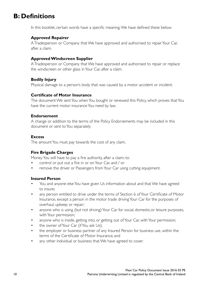### **B: Definitions**

In this booklet, certain words have a specific meaning. We have defined these below:

#### **Approved Repairer**

A Tradesperson or Company that We have approved and authorised to repair Your Car, after a claim.

#### **Approved Windscreen Supplier**

A Tradesperson or Company that We have approved and authorised to repair or replace the windscreen or other glass in Your Car, after a claim.

#### **Bodily Injury**

Physical damage to a person's body that was caused by a motor accident or incident.

#### **Certificate of Motor Insurance**

The document We sent You when You bought or renewed this Policy, which proves that You have the current motor insurance You need by law.

#### **Endorsement**

A change or addition to the terms of the Policy. Endorsements may be included in this document or sent to You separately.

#### **Excess**

The amount You must pay towards the cost of any claim.

#### **Fire Brigade Charges**

Money You will have to pay a fire authority, after a claim, to:

- control or put out a fire in or on Your Car, and / or
- remove the driver or Passengers from Your Car using cutting equipment.

#### **Insured Person**

- You and anyone else You have given Us information about and that We have agreed to insure;
- any person entitled to drive under the terms of Section 6 of Your Certificate of Motor Insurance, except a person in the motor trade driving Your Car for the purposes of overhaul, upkeep or repair;
- anyone who is using (but not driving) Your Car for social, domestic, or leisure purposes, with Your permission;
- anyone who is inside, getting into, or getting out of Your Car, with Your permission;
- the owner of Your Car (if You ask Us):
- the employer or business partner of any Insured Person for business use, within the terms of the Certificate of Motor Insurance; and
- any other individual or business that We have agreed to cover.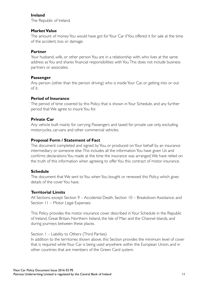#### **Ireland**

The Republic of Ireland.

#### **Market Value**

The amount of money You would have got for Your Car if You offered it for sale at the time of the accident, loss or damage.

#### **Partner**

Your husband, wife, or other person You are in a relationship with, who lives at the same address as You and shares financial responsibilities with You. This does not include business partners or associates.

#### **Passenger**

Any person (other than the person driving) who is inside Your Car, or getting into or out of it.

#### **Period of Insurance**

The period of time covered by this Policy that is shown in Your Schedule, and any further period that We agree to insure You for.

#### **Private Car**

Any vehicle built mainly for carrying Passengers and taxed for private use only, excluding motorcycles, car-vans and other commercial vehicles.

#### **Proposal Form / Statement of Fact**

The document completed and signed by You, or produced on Your behalf by an insurance intermediary or someone else. This includes all the information You have given Us and confirms declarations You made at the time the insurance was arranged. We have relied on the truth of this information when agreeing to offer You this contract of motor insurance.

#### **Schedule**

The document that We sent to You when You bought or renewed this Policy, which gives details of the cover You have.

#### **Territorial Limits**

All Sections except Section 9 – Accidental Death, Section 10 – Breakdown Assistance, and Section 11 – Motor Legal Expenses:

This Policy provides the motor insurance cover described in Your Schedule in the Republic of Ireland, Great Britain, Northern Ireland, the Isle of Man and the Channel Islands, and during journeys between these places.

#### Section 1 – Liability to Others (Third Parties)

In addition to the territories shown above, this Section provides the minimum level of cover that is required while Your Car is being used anywhere within the European Union, and in other countries that are members of the Green Card system.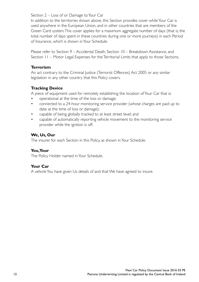Section 2 – Loss of or Damage to Your Car

In addition to the territories shown above, this Section provides cover while Your Car is used anywhere in the European Union, and in other countries that are members of the Green Card system. This cover applies for a maximum aggregate number of days (that is, the total number of days spent in these countries during one or more journeys) in each Period of Insurance, which is shown in Your Schedule.

Please refer to Section 9 – Accidental Death, Section 10 – Breakdown Assistance, and Section 11 – Motor Legal Expenses for the Territorial Limits that apply to those Sections.

#### **Terrorism**

An act contrary to the Criminal Justice (Terrorist Offences) Act 2005 or any similar legislation in any other country that this Policy covers.

#### **Tracking Device**

A piece of equipment used for remotely establishing the location of Your Car that is:

- operational at the time of the loss or damage;
- connected to a 24-hour monitoring service provider (whose charges are paid up to date at the time of loss or damage);
- capable of being globally tracked to at least street level; and
- capable of automatically reporting vehicle movement to the monitoring service provider while the ignition is off.

#### **We, Us, Our**

The insurer for each Section in this Policy, as shown in Your Schedule.

#### **You, Your**

The Policy Holder named in Your Schedule.

#### **Your Car**

A vehicle You have given Us details of and that We have agreed to insure.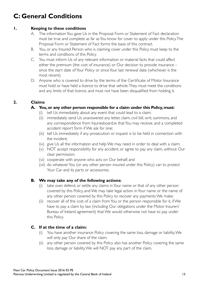### **C: General Conditions**

#### **1. Keeping to these conditions**

- A. The information You gave Us in the Proposal Form or Statement of Fact declaration must be true and complete as far as You know for cover to apply under this Policy. The Proposal Form or Statement of Fact forms the basis of this contract.
- B. You, or any Insured Person who is claiming cover under this Policy, must keep to the terms and conditions of this Policy.
- C. You must inform Us of any relevant information or material facts that could affect either the premium (the cost of insurance) or Our decision to provide insurance – since the start date of Your Policy or since Your last renewal date (whichever is the most recent).
- D. Anyone who is covered to drive by the terms of the Certificate of Motor Insurance must hold or have held a licence to drive that vehicle. They must meet the conditions and any limits of that licence, and must not have been disqualified from holding it.

#### **2. Claims**

#### **A. You, or any other person responsible for a claim under this Policy,must:**

- (i) tell Us immediately about any event that could lead to a claim;
- (ii) immediately send Us unanswered any letter, claim, civil bill, writ, summons, and any correspondence from Injuriesboard.ie that You may receive, and a completed accident report form if We ask for one;
- (iii) tell Us immediately if any prosecution or inquest is to be held in connection with the incident;
- (iv) give Us all the information and help We may need in order to deal with a claim;
- (v) NOT accept responsibility for any accident, or agree to pay any claim, without Our clear permission;
- (vi) cooperate with anyone who acts on Our behalf; and
- (vii) do whatever You (or any other person insured under this Policy) can to protect Your Car and its parts or accessories.

#### **B. We may take any of the following actions:**

- (i) take over, defend, or settle any claims in Your name or that of any other person covered by this Policy, and We may take legal action in Your name or the name of any other person covered by this Policy to recover any payments We make;
- (ii) recover all of the cost of a claim from You or the person responsible for it, if We have to pay a claim by law (including Our obligations under the Motor Insurers' Bureau of Ireland agreement) that We would otherwise not have to pay under this Policy.

#### **C. If at the time of a claim:**

- (i) You have another insurance Policy covering the same loss, damage or liability, We will only pay Our share of the claim.
- (ii) any other person covered by this Policy also has another Policy covering the same loss, damage or liability, We will NOT pay any part of the claim.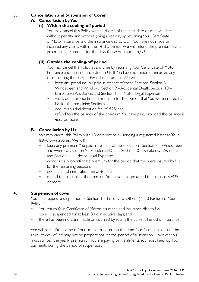#### **3. Cancellation and Suspension of Cover**

#### **A. Cancellation by You**

#### **(i) Within the cooling-off period**

You may cancel this Policy within 14 days of the start date or renewal date. without penalty and without giving a reason, by returning Your Certificate of Motor Insurance and the insurance disc to Us. If You have not made or incurred any claims within the 14-day period, We will refund the premium less a proportionate amount for the days You were insured by Us.

#### **(ii) Outside the cooling-off period**

You may cancel this Policy at any time by returning Your Certificate of Motor Insurance and the insurance disc to Us. If You have not made or incurred any claims during the current Period of Insurance, We will:

- keep any premium You paid in respect of these Sections: Section 8 Windscreen and Windows, Section 9 –Accidental Death, Section 10 – Breakdown Assistance, and Section 11 – Motor Legal Expenses;
- work out a proportionate premium for the period that You were insured by Us, for the remaining Sections;
- deduct an administration fee of €25; and
- refund You the balance of the premium You have paid, provided the balance is €25 or more.

#### **B. Cancellation by Us**

We may cancel this Policy with 10 days' notice by sending a registered letter to Your last-known address. We will:

- keep any premium You paid in respect of these Sections: Section 8 Windscreen and Windows, Section 9 –Accidental Death, Section 10 – Breakdown Assistance, and Section 11 – Motor Legal Expenses;
- work out a proportionate premium for the period that You were insured by Us, for the remaining Sections;
- deduct an administration fee of €25; and
- refund the balance of the premium You have paid, provided the balance is  $\epsilon$ 25 or more.

#### **4. Suspension of cover**

You may request a suspension of Section 1 – Liability to Others (Third Parties) of Your Policy, if:

- You return Your Certificate of Motor Insurance and insurance disc to Us;
- cover is suspended for at least 30 consecutive days; and
- there has been no claim made or incurred by You in the current Period of Insurance.

We will refund You some of Your premium, based on the time Your Car is out of use. The amount We refund may not be proportional to the period of suspension. However, You must still pay the yearly premium. If You are paying by instalments, You must keep up Your payments during the period of suspension.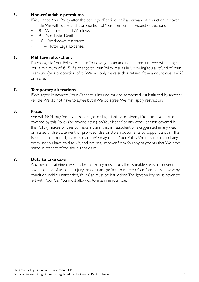#### **5. Non-refundable premiums**

If You cancel Your Policy after the cooling-off period, or if a permanent reduction in cover is made, We will not refund a proportion of Your premium in respect of Sections:

- 8 Windscreen and Windows
- 9 Accidental Death
- 10 Breakdown Assistance
- 11 Motor Legal Expenses.

#### **6. Mid-term alterations**

If a change to Your Policy results in You owing Us an additional premium, We will charge You a minimum of €15. If a change to Your Policy results in Us owing You a refund of Your premium (or a proportion of it), We will only make such a refund if the amount due is €25 or more.

#### **7. Temporary alterations**

If We agree in advance, Your Car that is insured may be temporarily substituted by another vehicle. We do not have to agree but if We do agree, We may apply restrictions.

#### **8. Fraud**

We will NOT pay for any loss, damage, or legal liability to others, if You or anyone else covered by this Policy (or anyone acting on Your behalf or any other person covered by this Policy) makes or tries to make a claim that is fraudulent or exaggerated in any way, or makes a false statement, or provides false or stolen documents to support a claim. If a fraudulent (dishonest) claim is made, We may cancel Your Policy, We may not refund any premium You have paid to Us, and We may recover from You any payments that We have made in respect of the fraudulent claim.

#### **9. Duty to take care**

Any person claiming cover under this Policy must take all reasonable steps to prevent any incidence of accident, injury, loss or damage. You must keep Your Car in a roadworthy condition. While unattended, Your Car must be left locked. The ignition key must never be left with Your Car. You must allow us to examine Your Car.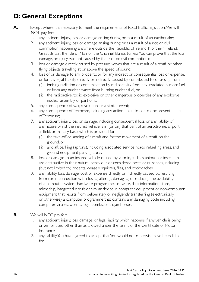### **D: General Exceptions**

- **A.** Except where it is necessary to meet the requirements of Road Traffic legislation, We will NOT pay for:
	- 1. any accident, injury, loss, or damage arising during or as a result of an earthquake;
	- 2. any accident, injury, loss, or damage arising during or as a result of a riot or civil commotion happening anywhere outside the Republic of Ireland, Northern Ireland, Great Britain, the Isle of Man, or the Channel Islands (unless You can prove that the loss, damage, or injury was not caused by that riot or civil commotion);
	- 3. loss or damage directly caused by pressure waves that are a result of aircraft or other flying objects travelling at or above the speed of sound;
	- 4. loss of or damage to any property, or for any indirect or consequential loss or expense, or for any legal liability directly or indirectly caused by, contributed to, or arising from
		- (i) ionising radiation or contamination by radioactivity from any irradiated nuclear fuel or from any nuclear waste from burning nuclear fuel, or
		- (ii) the radioactive, toxic, explosive or other dangerous properties of any explosive nuclear assembly or part of it;
	- 5. any consequence of war, revolution, or a similar event;
	- 6. any consequence of Terrorism, including any action taken to control or prevent an act of Terrorism;
	- 7. any accident, injury, loss or damage, including consequential loss, or any liability of any nature whilst the insured vehicle is in (or on) that part of an aerodrome, airport, airfield, or military base, which is provided for
		- (i) the take-off or landing of aircraft and for the movement of aircraft on the ground, or
		- (ii) aircraft parking (aprons), including associated service roads, refuelling areas, and ground equipment parking areas;
	- 8. loss or damage to an insured vehicle caused by vermin, such as animals or insects that are destructive in their natural behaviour, or considered pests or nuisances, including (but not limited to) rodents, weasels, squirrels, flies, and cockroaches;
	- 9. any liability, loss, damage, cost or expense directly or indirectly caused by, resulting from (or in connection with) losing, altering, damaging, or reducing the availability of a computer system, hardware programme, software, data-information store, microchip, integrated circuit or similar device in computer equipment or non-computer equipment that results from deliberately or negligently transferring (electronically or otherwise) a computer programme that contains any damaging code including computer viruses, worms, logic bombs, or trojan horses.
- **B.** We will NOT pay for:
	- 1. any accident, injury, loss, damage, or legal liability which happens if any vehicle is being driven or used other than as allowed under the terms of the Certificate of Motor Insurance;
	- 2. any liability You have agreed to accept that You would not otherwise have been liable for.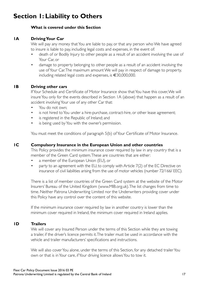### **Section 1: Liability to Others**

#### **What is covered under this Section**

#### **1A Driving Your Car**

We will pay any money that You are liable to pay, or that any person who We have agreed to insure is liable to pay, including legal costs and expenses, in the event of:

- death of or Bodily Injury to other people as a result of an accident involving the use of Your Car, or
- damage to property belonging to other people as a result of an accident involving the use of Your Car. The maximum amount We will pay in respect of damage to property, including related legal costs and expenses, is €30,000,000.

#### **1B Driving other cars**

If Your Schedule and Certificate of Motor Insurance show that You have this cover, We will insure You only for the events described in Section 1A (above) that happen as a result of an accident involving Your use of any other Car that:

- You do not own;
- is not hired to You under a hire-purchase, contract-hire, or other lease agreement;
- is registered in the Republic of Ireland; and
- is being used by You with the owner's permission.

You must meet the conditions of paragraph 5(b) of Your Certificate of Motor Insurance.

#### **1C Compulsory Insurance in the European Union and other countries**

This Policy provides the minimum insurance cover required by law in any country that is a member of the Green Card system. These are countries that are either:

- a member of the European Union (EU), or
- party to an agreement with the EU, to comply with Article 7(2) of the EC Directive on insurance of civil liabilities arising from the use of motor vehicles (number 72/166/ EEC).

There is a list of member countries of the Green Card system at the website of the Motor Insurers' Bureau of the United Kingdom (www.MIB.org.uk). The list changes from time to time. Neither Patrona Underwriting Limited nor the Underwriters providing cover under this Policy have any control over the content of this website.

If the minimum insurance cover required by law in another country is lower than the minimum cover required in Ireland, the minimum cover required in Ireland applies.

#### **1D Trailers**

We will cover any Insured Person under the terms of this Section while they are towing a trailer, if the driver's licence permits it. The trailer must be used in accordance with the vehicle and trailer manufacturers' specifications and instructions.

We will also cover You alone, under the terms of this Section, for any detached trailer You own or that is in Your care, if Your driving licence allows You to tow it.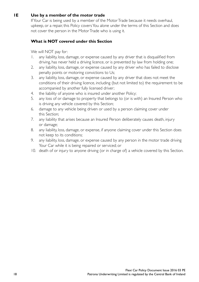#### **1E Use by a member of the motor trade**

If Your Car is being used by a member of the Motor Trade because it needs overhaul, upkeep, or a repair, this Policy covers You alone under the terms of this Section and does not cover the person in the Motor Trade who is using it.

#### **What is NOT covered under this Section**

We will NOT pay for:

- 1. any liability, loss, damage, or expense caused by any driver that is disqualified from driving, has never held a driving licence, or is prevented by law from holding one;
- 2. any liability, loss, damage, or expense caused by any driver who has failed to disclose penalty points or motoring convictions to Us;
- 3. any liability, loss, damage, or expense caused by any driver that does not meet the conditions of their driving licence, including (but not limited to) the requirement to be accompanied by another fully licensed driver;
- 4. the liability of anyone who is insured under another Policy;
- 5. any loss of or damage to property that belongs to (or is with) an Insured Person who is driving any vehicle covered by this Section;
- 6. damage to any vehicle being driven or used by a person claiming cover under this Section;
- 7. any liability that arises because an Insured Person deliberately causes death, injury or damage;
- 8. any liability, loss, damage, or expense, if anyone claiming cover under this Section does not keep to its conditions;
- 9. any liability, loss, damage, or expense caused by any person in the motor trade driving Your Car while it is being repaired or serviced; or
- 10. death of or injury to anyone driving (or in charge of) a vehicle covered by this Section.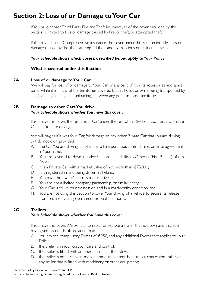### **Section 2: Loss of or Damage to Your Car**

If You have chosen Third Party, Fire and Theft insurance, all of the cover provided by this Section is limited to loss or damage caused by fire, or theft, or attempted theft.

If You have chosen Comprehensive insurance, the cover under this Section includes loss or damage caused by fire, theft, attempted theft, and by malicious or accidental means.

#### *Your Schedule shows which covers, described below, apply to Your Policy.*

#### **What is covered under this Section**

#### **2A Loss of or damage to Your Car**

We will pay for loss of or damage to Your Car, or any part of it or its accessories and spare parts, while it is in any of the territories covered by this Policy, or while being transported by sea (including loading and unloading) between any ports in those territories.

#### **2B Damage to other Cars You drive** *Your Schedule shows whether You have this cover.*

If You have this cover, the term 'Your Car' under the rest of this Section also means a Private Car that You are driving.

We will pay, as if it was Your Car, for damage to any other Private Car that You are driving but do not own, provided:

- A. the Car You are driving is not under a hire-purchase, contract-hire, or lease agreement in Your name;
- B. You are covered to drive it under Section 1 Liability to Others (Third Parties) of this Policy;
- C. it is a Private Car with a market value of not more than €75,000;
- D. it is registered in, and being driven in, Ireland;
- E. You have the owner's permission to drive it;
- F. You are not a limited company, partnership, or similar entity;
- G. Your Car is still in Your possession and in a roadworthy condition; and
- H. You are not using this Section to cover Your driving of a vehicle to secure its release from seizure by any government or public authority.

#### **2C Trailers**

#### *Your Schedule shows whether You have this cover.*

If You have this cover, We will pay to repair or replace a trailer that You own and that You have given Us details of, provided that:

- A. You pay the compulsory Excess of €250, and any additional Excess that applies to Your Policy;
- B. the trailer is in Your custody, care and control;
- C. the trailer is fitted with an operational anti-theft device;
- D. the trailer is not a caravan, mobile home, trailer-tent, boat-trailer, concession trailer, or any trailer that is fitted with machinery or other equipment;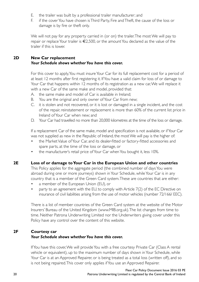- E. the trailer was built by a professional trailer manufacturer; and
- F. if the cover You have chosen is Third Party, Fire and Theft, the cause of the loss or damage is by fire or theft only.

We will not pay for any property carried in (or on) the trailer. The most We will pay to repair or replace Your trailer is €2,500, or the amount You declared as the value of the trailer if this is lower.

#### **2D New Car replacement** *Your Schedule shows whether You have this cover.*

For this cover to apply, You must insure Your Car for its full replacement cost for a period of at least 12 months after first registering it. If You have a valid claim for loss of or damage to Your Car that happens within 12 months of its registration as a new car, We will replace it with a new Car of the same make and model, provided that:

- A. the same make and model of Car is available in Ireland;
- B. You are the original and only owner of Your Car from new;
- C. it is stolen and not recovered, or it is lost or damaged in a single incident, and the cost of the repair, reinstatement or replacement is more than 60% of the current list price in Ireland of Your Car when new; and
- D. Your Car had travelled no more than 20,000 kilometres at the time of the loss or damage.

If a replacement Car of the same make, model and specification is not available, or if Your Car was not supplied as new in the Republic of Ireland, the most We will pay is the higher of:

- the Market Value of Your Car, and its dealer-fitted or factory-fitted accessories and spare parts, at the time of the loss or damage, or
- the manufacturer's retail price of Your Car when You bought it, less 10%.

#### **2E Loss of or damage to Your Car in the European Union and other countries**

This Policy applies for the aggregate period (the combined number of days You were abroad during one or more journeys) shown in Your Schedule, while Your Car is in any country that is a member of the Green Card system. These are countries that are either:

- a member of the European Union (EU), or
- party to an agreement with the EU, to comply with Article 7(2) of the EC Directive on insurance of civil liabilities arising from the use of motor vehicles (number 72/166/ EEC).

There is a list of member countries of the Green Card system at the website of the Motor Insurers' Bureau of the United Kingdom (www.MIB.org.uk). The list changes from time to time. Neither Patrona Underwriting Limited nor the Underwriters giving cover under this Policy have any control over the content of this website.

#### **2F Courtesy car** *Your Schedule shows whether You have this cover.*

If You have this cover, We will provide You with a free courtesy Private Car (Class A rental vehicle or equivalent), up to the maximum number of days shown in Your Schedule, while Your Car is at an Approved Repairer, or is being treated as a total loss (written off), and so is not being repaired. This cover only applies if You use an Approved Repairer.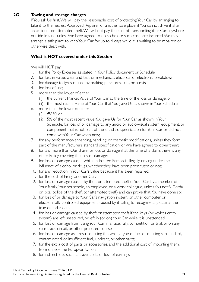#### **2G Towing and storage charges**

If You ask Us first, We will pay the reasonable cost of protecting Your Car by arranging to take it to the nearest Approved Repairer, or another safe place, if You cannot drive it after an accident or attempted theft. We will not pay the cost of transporting Your Car anywhere outside Ireland, unless We have agreed to do so before such costs are incurred. We may arrange a safe place to keep Your Car for up to 4 days while it is waiting to be repaired or otherwise dealt with.

#### **What is NOT covered under this Section**

We will NOT pay:

- 1. for the Policy Excesses as stated in Your Policy document or Schedule;
- 2. for loss in value, wear and tear, or mechanical, electrical, or electronic breakdown;
- 3. for damage to tyres caused by braking, punctures, cuts, or bursts;
- 4. for loss of use;
- 5. more than the lower of either
	- (i) the current Market Value of Your Car at the time of the loss or damage, or
	- (ii) the most recent value of Your Car that You gave Us as shown in Your Schedule
- 6. more than the lower of either
	- (i) €650, or
	- (ii) 5% of the most recent value You gave Us for Your Car as shown in Your Schedule, for loss of or damage to any audio or audio-visual system, equipment, or component that is not part of the standard specification for Your Car or did not come with Your Car when new;
- 7. for any performance-enhancing, handling, or cosmetic modifications, unless they form part of the manufacturer's standard specification, or We have agreed to cover them;
- 8. for any more than Our share for loss or damage if, at the time of a claim, there is any other Policy covering the loss or damage;
- 9. for loss or damage caused while an Insured Person is illegally driving under the influence of alcohol or drugs, whether they have been prosecuted or not;
- 10. for any reduction in Your Car's value because it has been repaired;
- 11. for the cost of hiring another Car;
- 12. for loss or damage caused by theft or attempted theft of Your Car by a member of Your family, Your household, an employee, or a work colleague, unless You notify Gardai or local police of the theft (or attempted theft) and can prove that You have done so;
- 13. for loss of or damage to Your Car's navigation system, or other computer or electronically controlled equipment, caused by it failing to recognise any date as the true calendar date;
- 14. for loss or damage caused by theft or attempted theft if the keys (or keyless entry system) are left unsecured, or left in (or on) Your Car while it is unattended;
- 15. for loss or damage from using Your Car in a race, rally, competition or trial, or on any race track, circuit, or other prepared course;
- 16. for loss or damage as a result of using the wrong type of fuel, or of using substandard, contaminated, or insufficient fuel, lubricant, or other parts;
- 17. for the extra cost of parts or accessories, and the additional cost of importing them, from outside the European Union;
- 18. for indirect loss, such as travel costs or loss of earnings;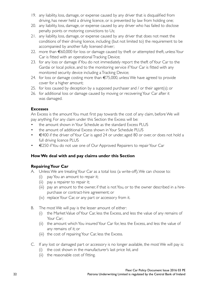- 19. any liability, loss, damage, or expense caused by any driver that is disqualified from driving, has never held a driving licence, or is prevented by law from holding one;
- 20. any liability, loss, damage, or expense caused by any driver who has failed to disclose penalty points or motoring convictions to Us;
- 21. any liability, loss, damage, or expense caused by any driver that does not meet the conditions of their driving licence, including (but not limited to) the requirement to be accompanied by another fully licensed driver;
- 22. more than €60,000 for loss or damage caused by theft or attempted theft, unless Your Car is fitted with an operational Tracking Device;
- 23. for any loss or damage if You do not immediately report the theft of Your Car to the Gardai or local police, and to the monitoring service if Your Car is fitted with any monitored security device including a Tracking Device;
- 24. for loss or damage costing more than  $\epsilon$ 75,000, unless We have agreed to provide cover for a higher amount;
- 25. for loss caused by deception by a supposed purchaser and / or their agent(s); or
- 26. for additional loss or damage caused by moving or recovering Your Car after it was damaged.

#### **Excesses**

An Excess is the amount You must first pay towards the cost of any claim, before We will pay anything. For any claim under this Section the Excess will be:

- the amount shown in Your Schedule as the standard Excess PLUS
- the amount of additional Excess shown in Your Schedule PLUS
- €400 if the driver of Your Car is aged 24 or under, aged 80 or over, or does not hold a full driving licence PLUS
- €250 if You do not use one of Our Approved Repairers to repair Your Car

#### **How We deal with and pay claims under this Section**

#### **Repairing Your Car**

- A. Unless We are treating Your Car as a total loss (a write-off), We can choose to:
	- (i) pay You an amount to repair it;
	- (ii) pay a repairer to repair it;
	- (iii) pay an amount to the owner, if that is not You, or to the owner described in a hirepurchase or contract-hire agreement; or
	- (iv) replace Your Car, or any part or accessory from it.
- B. The most We will pay is the lesser amount of either:
	- (i) the Market Value of Your Car, less the Excess, and less the value of any remains of Your Car;
	- (ii) the amount which You insured Your Car for, less the Excess, and less the value of any remains of it; or
	- (iii) the cost of repairing Your Car, less the Excess.
- C. If any lost or damaged part or accessory is no longer available, the most We will pay is:
	- (i) the cost shown in the manufacturer's last price list, and
	- (ii) the reasonable cost of fitting.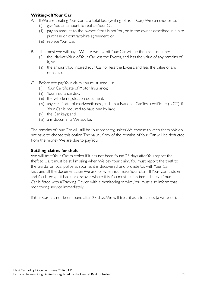#### **Writing-off Your Car**

- A. If We are treating Your Car as a total loss (writing-off Your Car), We can choose to:
	- (i) give You an amount to replace Your Car;
	- (ii) pay an amount to the owner, if that is not You, or to the owner described in a hirepurchase or contract-hire agreement; or
	- (iii) replace Your Car.
- B. The most We will pay if We are writing-off Your Car will be the lesser of either:
	- (i) the Market Value of Your Car, less the Excess, and less the value of any remains of it, or
	- (ii) the amount You insured Your Car for, less the Excess, and less the value of any remains of it.
- C. Before We pay Your claim, You must send Us:
	- (i) Your Certificate of Motor Insurance;
	- (ii) Your insurance disc;
	- (iii) the vehicle registration document;
	- (iv) any certificate of roadworthiness, such as a National Car Test certificate (NCT), if Your Car is required to have one by law;
	- (v) the Car keys; and
	- (vi) any documents We ask for.

The remains of Your Car will still be Your property, unless We choose to keep them. We do not have to choose this option. The value, if any, of the remains of Your Car will be deducted from the money We are due to pay You.

#### **Settling claims for theft**

We will treat Your Car as stolen if it has not been found 28 days after You report the theft to Us. It must be still missing when We pay Your claim. You must report the theft to the Gardai or local police as soon as it is discovered, and provide Us with Your Car keys and all the documentation We ask for when You make Your claim. If Your Car is stolen and You later get it back, or discover where it is, You must tell Us immediately. If Your Car is fitted with a Tracking Device with a monitoring service, You must also inform that monitoring service immediately.

If Your Car has not been found after 28 days, We will treat it as a total loss (a write-off).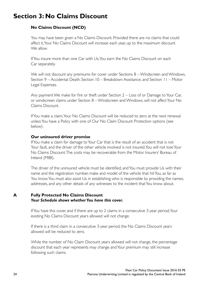### **Section 3: No Claims Discount**

#### **No Claims Discount (NCD)**

You may have been given a No Claims Discount. Provided there are no claims that could affect it, Your No Claims Discount will increase each year, up to the maximum discount We allow.

If You insure more than one Car with Us, You earn the No Claims Discount on each Car separately.

We will not discount any premiums for cover under Sections 8 – Windscreen and Windows, Section 9 – Accidental Death, Section 10 – Breakdown Assistance, and Section 11 – Motor Legal Expenses.

Any payment We make for fire or theft under Section 2 – Loss of or Damage to Your Car, or windscreen claims under Section 8 – Windscreen and Windows, will not affect Your No Claims Discount.

If You make a claim, Your No Claims Discount will be reduced to zero at the next renewal unless You have a Policy with one of Our No Claim Discount Protection options (see below).

#### **Our uninsured driver promise**

If You make a claim for damage to Your Car that is the result of an accident that is not Your fault, and the driver of the other vehicle involved is not insured, You will not lose Your No Claims Discount. The costs may be recoverable from the Motor Insurers' Bureau of Ireland (MIBI).

The driver of the uninsured vehicle must be identified, and You must provide Us with their name and the registration number, make and model of the vehicle that hit You, as far as You know. You must also assist Us in establishing who is responsible by providing the names, addresses, and any other details of any witnesses to the incident that You know about.

#### **A Fully Protected No Claims Discount** *Your Schedule shows whether You have this cover.*

If You have this cover, and if there are up to 2 claims in a consecutive 3-year period, Your existing No Claims Discount years allowed will not change.

If there is a third claim in a consecutive 3-year period, the No Claims Discount years allowed will be reduced to zero.

While the number of No Claim Discount years allowed will not change, the percentage discount that each year represents may change and Your premium may still increase following such claims.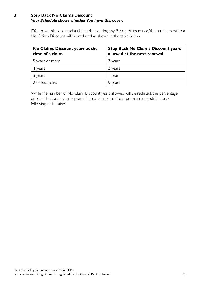#### **B Step Back No Claims Discount** *Your Schedule shows whether You have this cover.*

If You have this cover and a claim arises during any Period of Insurance, Your entitlement to a No Claims Discount will be reduced as shown in the table below.

| No Claims Discount years at the<br>time of a claim | <b>Step Back No Claims Discount years</b><br>allowed at the next renewal |
|----------------------------------------------------|--------------------------------------------------------------------------|
| 5 years or more                                    | 3 years                                                                  |
| 4 years                                            | 2 years                                                                  |
| 3 years                                            | year                                                                     |
| 2 or less years                                    | 0 years                                                                  |

While the number of No Claim Discount years allowed will be reduced, the percentage discount that each year represents may change and Your premium may still increase following such claims.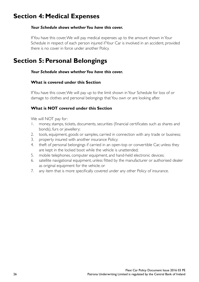### **Section 4: Medical Expenses**

#### *Your Schedule shows whether You have this cover.*

If You have this cover, We will pay medical expenses up to the amount shown in Your Schedule in respect of each person injured if Your Car is involved in an accident, provided there is no cover in force under another Policy.

### **Section 5: Personal Belongings**

#### *Your Schedule shows whether You have this cover.*

#### **What is covered under this Section**

If You have this cover, We will pay up to the limit shown in Your Schedule for loss of or damage to clothes and personal belongings that You own or are looking after.

#### **What is NOT covered under this Section**

We will NOT pay for:

- 1. money, stamps, tickets, documents, securities (financial certificates such as shares and bonds), furs or jewellery;
- 2. tools, equipment, goods or samples, carried in connection with any trade or business;
- 3. property insured with another insurance Policy;
- 4. theft of personal belongings if carried in an open-top or convertible Car, unless they are kept in the locked boot while the vehicle is unattended;
- 5. mobile telephones, computer equipment, and hand-held electronic devices;
- 6. satellite navigational equipment, unless fitted by the manufacturer or authorised dealer as original equipment for the vehicle; or
- 7. any item that is more specifically covered under any other Policy of insurance.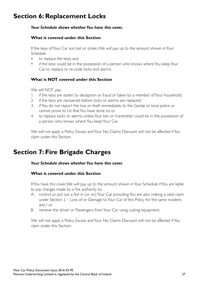### **Section 6: Replacement Locks**

#### *Your Schedule shows whether You have this cover.*

#### **What is covered under this Section**

If the keys of Your Car are lost or stolen, We will pay up to the amount shown in Your Schedule

- to replace the keys, and
- if the keys could be in the possession of a person who knows where You keep Your Car, to replace or re-code locks and alarms.

#### **What is NOT covered under this Section**

We will NOT pay:

- 1. if the keys are stolen by deception or fraud or taken by a member of Your household;
- 2. if the keys are recovered before locks or alarms are replaced;
- 3. if You do not report the loss or theft immediately to the Gardai or local police or cannot prove to Us that You have done so; or
- 4. to replace locks or alarms, unless Your key or transmitter could be in the possession of a person who knows where You keep Your Car.

We will not apply a Policy Excess and Your No Claims Discount will not be affected if You claim under this Section.

### **Section 7: Fire Brigade Charges**

#### *Your Schedule shows whether You have this cover.*

#### **What is covered under this Section**

If You have this cover, We will pay up to the amount shown in Your Schedule if You are liable to pay charges made by a fire authority to:

- A. control or put out a fire in (or on) Your Car, providing You are also making a valid claim under Section 2 – Loss of or Damage to Your Car of this Policy for the same incident, and / or
- B. remove the driver or Passengers from Your Car using cutting equipment.

We will not apply a Policy Excess and Your No Claims Discount will not be affected if You claim under this Section.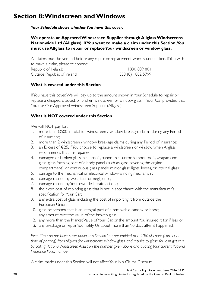### **Section 8: Windscreen and Windows**

*Your Schedule shows whether You have this cover.*

**We operate an Approved Windscreen Supplier through Allglass Windscreens Nationwide Ltd (Allglass). If You want to make a claim under this Section, You must use Allglass to repair or replace Your windscreen or window glass.**

All claims must be verified before any repair or replacement work is undertaken. If You wish to make a claim, please telephone: Republic of Ireland: 1890 809 804 Outside Republic of Ireland: +353 (0)1 882 5799

#### **What is covered under this Section**

If You have this cover, We will pay up to the amount shown in Your Schedule to repair or replace a chipped, cracked, or broken windscreen or window glass in Your Car, provided that You use Our Approved Windscreen Supplier (Allglass).

#### **What is NOT covered under this Section**

We will NOT pay for:

- 1. more than €500 in total for windscreen / window breakage claims during any Period of Insurance;
- 2. more than 2 windscreen / window breakage claims during any Period of Insurance;
- 3. an Excess of  $\epsilon$ 25, if You choose to replace a windscreen or window when Allglass recommends that it is repaired;
- 4. damaged or broken glass in sunroofs, panoramic sunroofs, moonroofs, wraparound glass, glass forming part of a body panel (such as glass covering the engine compartment), or continuous glass panels, mirror glass, lights, lenses, or internal glass;
- 5. damage to the mechanical or electrical window-winding mechanism;
- 6. damage caused by wear, tear or negligence;
- 7. damage caused by Your own deliberate actions;
- 8. the extra cost of replacing glass that is not in accordance with the manufacturer's specification for Your Car;
- 9. any extra cost of glass, including the cost of importing it from outside the European Union;
- 10. glass or perspex that is an integral part of a removable canopy or hood;
- 11. any amount over the value of the broken glass;
- 12. any more than the Market Value of Your Car, or the amount You insured it for if less; or
- 13. any breakage or repair You notify Us about more than 90 days after it happened.

*Even if You do not have cover under this Section, You are entitled to a 20% discount (correct at time of printing) from Allglass for windscreens, window glass, and repairs to glass. You can get this by calling Patrona Windscreen Assist on the number given above and quoting Your current Patrona Insurance Policy number.*

A claim made under this Section will not affect Your No Claims Discount.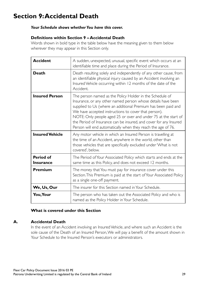### **Section 9: Accidental Death**

#### *Your Schedule shows whether You have this cover.*

#### **Definitions within Section 9 – Accidental Death**

Words shown in bold type in the table below have the meaning given to them below wherever they may appear in this Section only.

| <b>Accident</b>                      | A sudden, unexpected, unusual, specific event which occurs at an<br>identifiable time and place during the Period of Insurance.                                                                                                                                                                                                                                                                                                                          |
|--------------------------------------|----------------------------------------------------------------------------------------------------------------------------------------------------------------------------------------------------------------------------------------------------------------------------------------------------------------------------------------------------------------------------------------------------------------------------------------------------------|
| Death                                | Death resulting solely and independently of any other cause, from<br>an identifiable physical injury caused by an Accident involving an<br>Insured Vehicle occurring within 12 months of the date of the<br>Accident.                                                                                                                                                                                                                                    |
| <b>Insured Person</b>                | The person named as the Policy Holder in the Schedule of<br>Insurance, or any other named person whose details have been<br>supplied to Us (where an additional Premium has been paid and<br>We have accepted instructions to cover that person).<br>NOTE: Only people aged 25 or over and under 75 at the start of<br>the Period of Insurance can be insured, and cover for any Insured<br>Person will end automatically when they reach the age of 76. |
| <b>Insured Vehicle</b>               | Any motor vehicle in which an Insured Person is travelling at<br>the time of an Accident, anywhere in the world, other than<br>those vehicles that are specifically excluded under 'What is not<br>covered'. below.                                                                                                                                                                                                                                      |
| <b>Period of</b><br><b>Insurance</b> | The Period of Your Associated Policy which starts and ends at the<br>same time as this Policy, and does not exceed 12 months.                                                                                                                                                                                                                                                                                                                            |
| Premium                              | The money that You must pay for insurance cover under this<br>Section. This Premium is paid at the start of Your Associated Policy<br>as a single one-off payment.                                                                                                                                                                                                                                                                                       |
| We, Us, Our                          | The insurer for this Section named in Your Schedule.                                                                                                                                                                                                                                                                                                                                                                                                     |
| You, Your                            | The person who has taken out the Associated Policy and who is<br>named as the Policy Holder in Your Schedule.                                                                                                                                                                                                                                                                                                                                            |

#### **What is covered under this Section**

#### **A. Accidental Death**

In the event of an Accident involving an Insured Vehicle, and where such an Accident is the sole cause of the Death of an Insured Person, We will pay a benefit of the amount shown in Your Schedule to the Insured Person's executors or administrators.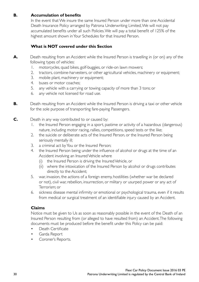#### **B. Accumulation of benefits**

In the event that We insure the same Insured Person under more than one Accidental Death Insurance Policy arranged by Patrona Underwriting Limited, We will not pay accumulated benefits under all such Policies. We will pay a total benefit of 125% of the highest amount shown in Your Schedules for that Insured Person.

#### **What is NOT covered under this Section**

- **A.** Death resulting from an Accident while the Insured Person is travelling in (or on) any of the following types of vehicles:
	- 1. motorcycles, quad bikes, golf-buggies, or ride-on lawn mowers;
	- 2. tractors, combine-harvesters, or other agricultural vehicles, machinery or equipment;
	- 3. mobile plant, machinery or equipment;
	- 4. buses or motor coaches;
	- 5. any vehicle with a carrying or towing capacity of more than 3 tons; or
	- 6. any vehicle not licensed for road use.
- **B.** Death resulting from an Accident while the Insured Person is driving a taxi or other vehicle for the sole purpose of transporting fare-paying Passengers.
- **C.** Death in any way contributed to or caused by:
	- 1. the Insured Person engaging in a sport, pastime or activity of a hazardous (dangerous) nature, including motor racing, rallies, competitions, speed tests or the like;
	- 2. the suicide or deliberate acts of the Insured Person, or the Insured Person being seriously mentally ill;
	- 3. a criminal act by You or the Insured Person;
	- 4. the Insured Person being under the influence of alcohol or drugs at the time of an Accident involving an Insured Vehicle where
		- (i) the Insured Person is driving the Insured Vehicle, or
		- (ii) where the intoxication of the Insured Person by alcohol or drugs contributes directly to the Accident;
	- 5. war, invasion, the actions of a foreign enemy, hostilities (whether war be declared or not), civil war, rebellion, insurrection, or military or usurped power or any act of Terrorism; or
	- 6. sickness disease mental infirmity or emotional or psychological trauma, even if it results from medical or surgical treatment of an identifiable injury caused by an Accident.

#### **Claims**

Notice must be given to Us as soon as reasonably possible in the event of the Death of an Insured Person resulting from (or alleged to have resulted from) an Accident. The following documents must be produced before the benefit under this Policy can be paid:

- Death Certificate
- Garda Report
- Coroner's Reports.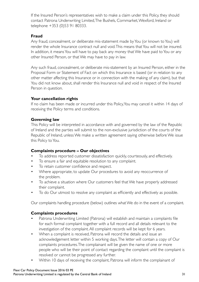If the Insured Person's representatives wish to make a claim under this Policy, they should contact Patrona Underwriting Limited, The Bushels, Cornmarket, Wexford, Ireland or telephone +353 (0)53 91 80333.

#### **Fraud**

Any fraud, concealment, or deliberate mis-statement made by You (or known to You) will render the whole Insurance contract null and void. This means that You will not be insured. In addition, it means You will have to pay back any money that We have paid to You or any other Insured Person, or that We may have to pay in law.

Any such fraud, concealment, or deliberate mis-statement by an Insured Person, either in the Proposal Form or Statement of Fact on which this Insurance is based (or in relation to any other matter affecting this Insurance or in connection with the making of any claim), but that You did not know about, shall render this Insurance null and void in respect of the Insured Person in question.

#### **Your cancellation rights**

If no claim has been made or incurred under this Policy, You may cancel it within 14 days of receiving the Policy terms and conditions.

#### **Governing law**

This Policy will be interpreted in accordance with and governed by the law of the Republic of Ireland and the parties will submit to the non-exclusive jurisdiction of the courts of the Republic of Ireland, unless We make a written agreement saying otherwise before We issue this Policy to You.

#### **Complaints procedure – Our objectives**

- To address reported customer dissatisfaction quickly, courteously, and effectively.
- To ensure a fair and equitable resolution to any complaint.
- To retain customer confidence and respect.
- Where appropriate, to update Our procedures to avoid any reoccurrence of the problem.
- To achieve a situation where Our customers feel that We have properly addressed their complaint.
- To do Our utmost to resolve any complaint as efficiently and effectively as possible.

Our complaints handling procedure (below) outlines what We do in the event of a complaint.

#### **Complaints procedures**

- Patrona Underwriting Limited (Patrona) will establish and maintain a complaints file for each formal complaint together with a full record and all details relevant to the investigation of the complaint. All complaint records will be kept for 6 years.
- When a complaint is received, Patrona will record the details and issue an acknowledgement letter within 5 working days. The letter will contain a copy of Our complaints procedures. The complainant will be given the name of one or more people who will be their point of contact regarding the complaint until the complaint is resolved or cannot be progressed any further.
- Within 10 days of receiving the complaint, Patrona will inform the complainant of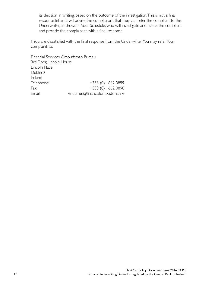its decision in writing, based on the outcome of the investigation. This is not a final response letter. It will advise the complainant that they can refer the complaint to the Underwriter, as shown in Your Schedule, who will investigate and assess the complaint and provide the complainant with a final response.

If You are dissatisfied with the final response from the Underwriter, You may refer Your complaint to:

Financial Services Ombudsman Bureau 3rd Floor, Lincoln House Lincoln Place Dublin 2 Ireland Telephone: +353 (0) 1 662 0899 Fax: +353 (0) 1 662 0890 Email: enquiries@financialombudsman.ie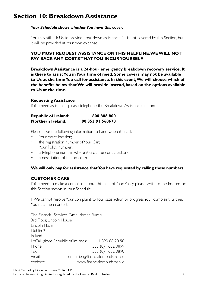### **Section 10: Breakdown Assistance**

#### *Your Schedule shows whether You have this cover.*

You may still ask Us to provide breakdown assistance if it is not covered by this Section, but it will be provided at Your own expense.

#### **YOU MUST REQUEST ASSISTANCE ON THIS HELPLINE. WE WILL NOT PAY BACK ANY COSTS THAT YOU INCUR YOURSELF.**

**Breakdown Assistance is a 24-hour emergency breakdown recovery service. It is there to assist You in Your time of need. Some covers may not be available to Us at the time You call for assistance. In this event, We will choose which of the benefits below that We will provide instead, based on the options available to Us at the time.** 

#### **Requesting Assistance**

If You need assistance, please telephone the Breakdown Assistance line on:

| <b>Republic of Ireland:</b> | 1800 806 800     |
|-----------------------------|------------------|
| Northern Ireland:           | 00 353 91 560670 |

Please have the following information to hand when You call:

- Your exact location:
- the registration number of Your Car;
- Your Policy number;
- a telephone number where You can be contacted; and
- a description of the problem.

#### **We will only pay for assistance that You have requested by calling these numbers.**

#### **CUSTOMER CARE**

If You need to make a complaint about this part of Your Policy, please write to the Insurer for this Section shown in Your Schedule

If We cannot resolve Your complaint to Your satisfaction or progress Your complaint further, You may then contact:

The Financial Services Ombudsman Bureau 3rd Floor Lincoln House Lincoln Place Dublin 2 Ireland LoCall (from Republic of Ireland): 1890 88 20 90 Phone: +353 (0) | 662 0899 Fax: +353 (0) 1 662 0890 Email: enquiries@financialombudsman.ie Website: www.financialombudsman.ie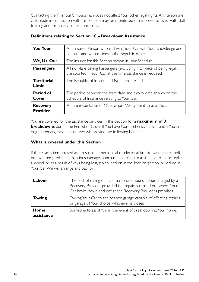Contacting the Financial Ombudsman does not affect Your other legal rights. Any telephone calls made in connection with this Section may be monitored or recorded to assist with staff training and for quality control purposes.

| You, Your                          | Any Insured Person who is driving Your Car with Your knowledge and<br>consent, and who resides in the Republic of Ireland.           |
|------------------------------------|--------------------------------------------------------------------------------------------------------------------------------------|
| We, Us, Our                        | The Insurer for this Section shown in Your Schedule.                                                                                 |
| <b>Passengers</b>                  | All non-fare paying Passengers (excluding hitch-hikers) being legally<br>transported in Your Car at the time assistance is required. |
| <b>Territorial</b><br>Limit        | The Republic of Ireland and Northern Ireland.                                                                                        |
| Period of<br>Cover                 | The period between the start date and expiry date shown on the<br>Schedule of Insurance relating to Your Car.                        |
| <b>Recovery</b><br><b>Provider</b> | Any representative of Ours whom We appoint to assist You.                                                                            |

#### **Definitions relating to Section 10 – Breakdown Assistance**

You are covered for the assistance services in this Section for a **maximum of 3 breakdowns** during the Period of Cover. If You have Comprehensive cover, and if You first ring the emergency helpline, We will provide the following benefits:

#### **What is covered under this Section**

If Your Car is immobilised as a result of a mechanical or electrical breakdown, or fire, theft, or any attempted theft, malicious damage, punctures that require assistance to fix or replace a wheel, or as a result of keys being lost, stolen, broken in the lock or ignition, or locked in Your Car, We will arrange and pay for:

| Labour             | The cost of calling out, and up to one hour's labour charged by, a<br>Recovery Provider, provided the repair is carried out where Your<br>Car broke down and not at the Recovery Provider's premises. |
|--------------------|-------------------------------------------------------------------------------------------------------------------------------------------------------------------------------------------------------|
| <b>Towing</b>      | Towing Your Car to the nearest garage capable of effecting repairs<br>or garage of Your choice, whichever is closer.                                                                                  |
| Home<br>assistance | Someone to assist You in the event of breakdown at Your home.                                                                                                                                         |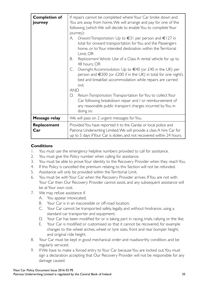| <b>Completion of</b><br>journey | If repairs cannot be completed where Your Car broke down and<br>You are away from home, We will arrange and pay for one of the<br>following (which We will decide to enable You to complete Your<br>journey):<br>Onward Transportation: Up to $\in$ 31 per person and $\in$ 127 in<br>А.<br>total for onward transportation for You and the Passengers<br>home, or to Your intended destination within the Territorial |  |
|---------------------------------|------------------------------------------------------------------------------------------------------------------------------------------------------------------------------------------------------------------------------------------------------------------------------------------------------------------------------------------------------------------------------------------------------------------------|--|
|                                 | Limit, OR<br>Replacement Vehicle: Use of a Class A rental vehicle for up to<br>В.<br>48 hours, OR                                                                                                                                                                                                                                                                                                                      |  |
|                                 | Overnight Accommodation: Up to $\in$ 40 (or £40 in the UK) per<br>C.<br>person and €200 (or £200 if in the UK) in total for one night's<br>bed and breakfast accommodation while repairs are carried<br>out.                                                                                                                                                                                                           |  |
|                                 | <b>AND</b>                                                                                                                                                                                                                                                                                                                                                                                                             |  |
|                                 | Return Transportation: Transportation for You to collect Your<br>D.<br>Car following breakdown repair and / or reimbursement of<br>any reasonable public transport charges incurred by You in<br>doing so.                                                                                                                                                                                                             |  |
| Message relay                   | We will pass on 2 urgent messages for You.                                                                                                                                                                                                                                                                                                                                                                             |  |
| Replacement<br>Car              | Provided You have reported it to the Gardai or local police and<br>Patrona Underwriting Limited, We will provide a class A hire Car for<br>up to 5 days if Your Car is stolen, and not recovered within 24 hours.                                                                                                                                                                                                      |  |

#### **Conditions**

- 1. You must use the emergency helpline numbers provided to call for assistance.
- 2. You must give the Policy number when calling for assistance.
- 3. You must be able to prove Your identity to the Recovery Provider when they reach You.
- 4. If this Policy is cancelled the premium relating to this Section will not be refunded.
- 5. Assistance will only be provided within the Territorial Limit.
- 6. You must be with Your Car when the Recovery Provider arrives. If You are not with Your Car then Our Recovery Provider cannot assist, and any subsequent assistance will be at Your own cost.
- 7. We may refuse assistance if:
	- A. You appear intoxicated;
	- B. Your Car is in an inaccessible or off-road location;
	- C. Your Car cannot be transported safely, legally, and without hindrance, using a standard car transporter and equipment;
	- D. Your Car has been modified for or is taking part in racing, trials, rallying or the like;
	- E. Your Car is modified or customised so that it cannot be recovered, for example changes to the wheel arches, wheel or tyre sizes, front and rear bumper height, and original ride height.
- 8. Your Car must be kept in good mechanical order and roadworthy condition, and be regularly serviced.
- 9. If We have to make a forced entry to Your Car because You are locked out, You must sign a declaration accepting that Our Recovery Provider will not be responsible for any damage caused.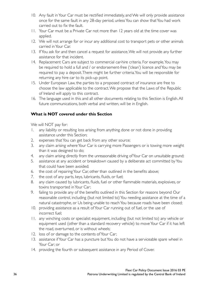- 10. Any fault in Your Car must be rectified immediately, and We will only provide assistance once for the same fault in any 28-day period, unless You can show that You had work carried out to fix the fault.
- 11. Your Car must be a Private Car not more than 12 years old at the time cover was applied.
- 12. We will not arrange for or incur any additional cost to transport pets or other animals carried in Your Car.
- 13. If You ask for and then cancel a request for assistance, We will not provide any further assistance for that incident.
- 14. Replacement Cars are subject to commercial car-hire criteria. For example, You may be required to hold a full and / or endorsement-free ('clean') licence and You may be required to pay a deposit. There might be further criteria. You will be responsible for returning any hire car to its pick-up point.
- 15. Under European Law, the parties to a proposed contract of insurance are free to choose the law applicable to the contract. We propose that the Laws of the Republic of Ireland will apply to this contract.
- 16. The language used in this and all other documents relating to this Section is English. All future communications, both verbal and written, will be in English.

#### **What is NOT covered under this Section**

We will NOT pay for:

- 1. any liability or resulting loss arising from anything done or not done in providing assistance under this Section;
- 2. expenses that You can get back from any other source;
- 3. any claim arising where Your Car is carrying more Passengers or is towing more weight than it was designed to do;
- 4. any claim arising directly from the unreasonable driving of Your Car on unsuitable ground;
- 5. assistance at any accident or breakdown caused by a deliberate act committed by You that could have been avoided;
- 6. the cost of repairing Your Car, other than outlined in the benefits above;
- 7. the cost of any parts, keys, lubricants, fluids, or fuel;
- 8. any claim caused by lubricants, fluids, fuel or other flammable materials, explosives, or toxins transported in Your Car;
- 9. failing to provide any of the benefits outlined in this Section for reasons beyond Our reasonable control, including (but not limited to) You needing assistance at the time of a natural catastrophe, or Us being unable to reach You because roads have been closed;
- 10. providing assistance as a result of Your Car running out of fuel, or the use of incorrect fuel;
- 11. any winching costs or specialist equipment, including (but not limited to) any vehicle or equipment used (other than a standard recovery vehicle) to move Your Car if it has left the road, overturned, or is without wheels;
- 12. loss of or damage to the contents of Your Car;
- 13. assistance if Your Car has a puncture but You do not have a serviceable spare wheel in Your Car; or
- 14. providing the fourth or subsequent assistance in any Period of Cover.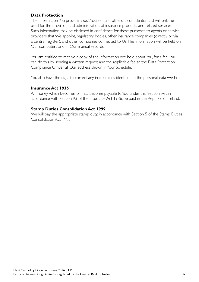#### **Data Protection**

The information You provide about Yourself and others is confidential and will only be used for the provision and administration of insurance products and related services. Such information may be disclosed in confidence for these purposes to agents or service providers that We appoint, regulatory bodies, other insurance companies (directly or via a central register), and other companies connected to Us. This information will be held on Our computers and in Our manual records.

You are entitled to receive a copy of the information We hold about You, for a fee. You can do this by sending a written request and the applicable fee to the Data Protection Compliance Officer at Our address shown in Your Schedule.

You also have the right to correct any inaccuracies identified in the personal data We hold.

#### **Insurance Act 1936**

All money which becomes or may become payable to You under this Section will, in accordance with Section 93 of the Insurance Act 1936, be paid in the Republic of Ireland.

#### **Stamp Duties Consolidation Act 1999**

We will pay the appropriate stamp duty, in accordance with Section 5 of the Stamp Duties Consolidation Act 1999.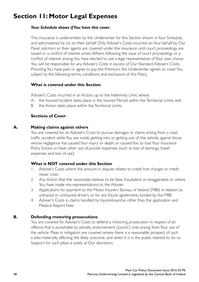### **Section 11: Motor Legal Expenses**

#### *Your Schedule shows if You have this cover.*

This insurance is underwritten by the Underwriter for this Section shown in Your Schedule, and administered by Us on their behalf. Only Adviser's Costs incurred on Your behalf by Our Panel solicitors or their agents are covered under this insurance until court proceedings are issued or a conflict of interest arises. Where, following the issue of court proceedings or a conflict of interest arising, You have elected to use a legal representative of Your own choice You will be responsible for any Adviser's Costs in excess of Our Standard Advisers' Costs. Providing You have paid or agree to pay the Premium, the Underwriter agrees to cover You subject to the following terms, conditions and exclusions of this Policy.

#### **What is covered under this Section**

Adviser's Costs incurred in an Action, up to the Indemnity Limit, where:

- A. the Insured Incident takes place in the Insured Period within the Territorial Limits, and
- B. the Action takes place within the Territorial Limits.

#### **Sections of Cover**

#### **A. Making claims against others**

You are covered for an Adviser's Costs to pursue damages or claims arising from a road traffic accident while You are inside, getting into, or getting out of, the vehicle, against those whose negligence has caused Your injury or death, or caused You to lose Your Insurance Policy Excess or have other out-of-pocket expenses (such as loss of earnings, travel expenses, and loss of use).

#### **What is NOT covered under this Section**

- 1. Adviser's Costs where the amount in dispute relates to credit hire charges or credit repair costs.
- 2. Any Action that We reasonably believe to be false, fraudulent, or exaggerated, or where You have made mis-representations to the Adviser.
- 3. Applications for payment to the Motor Insurers' Bureau of Ireland (MIBI) in relation to untraced or uninsured drivers, or for any future agreements funded by the MIBI.
- 4. Adviser's Costs in claims handled by Injuriesboard.ie, other than the application and Medical Report Fees.

#### **B. Defending motoring prosecutions**

You are covered for Adviser's Costs to defend a motoring prosecution in respect of an offence that is punishable by penalty endorsement ('points') only, arising from Your use of the vehicle. Pleas in mitigation are covered where there is a reasonable prospect of such a plea materially affecting the likely outcome, and when it is in the public interest to do so. Support for such pleas is solely at Our discretion.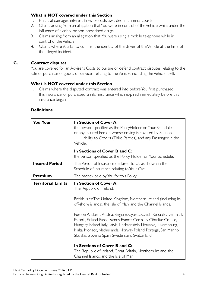#### **What is NOT covered under this Section**

- 1. Financial damages, interest, fines, or costs awarded in criminal courts.
- 2. Claims arising from an allegation that You were in control of the Vehicle while under the influence of alcohol or non-prescribed drugs.
- 3. Claims arising from an allegation that You were using a mobile telephone while in control of the Vehicle.
- 4. Claims where You fail to confirm the identity of the driver of the Vehicle at the time of the alleged Incident.

#### **C. Contract disputes**

You are covered for an Adviser's Costs to pursue or defend contract disputes relating to the sale or purchase of goods or services relating to the Vehicle, including the Vehicle itself.

#### **What is NOT covered under this Section**

1. Claims where the disputed contract was entered into before You first purchased this insurance, or purchased similar insurance which expired immediately before this insurance began.

#### **Definitions**

| You, Your                 | In Section of Cover A:<br>the person specified as the PolicyHolder on Your Schedule<br>or any Insured Person whose driving is covered by Section<br>I – Liability to Others (Third Parties), and any Passenger in the<br>Vehicle.                                                                                                                                                                                                                                                                                                                                                                                                                                                         |
|---------------------------|-------------------------------------------------------------------------------------------------------------------------------------------------------------------------------------------------------------------------------------------------------------------------------------------------------------------------------------------------------------------------------------------------------------------------------------------------------------------------------------------------------------------------------------------------------------------------------------------------------------------------------------------------------------------------------------------|
|                           | In Sections of Cover B and C:<br>the person specified as the Policy Holder on Your Schedule.                                                                                                                                                                                                                                                                                                                                                                                                                                                                                                                                                                                              |
| <b>Insured Period</b>     | The Period of Insurance declared to Us as shown in the<br>Schedule of Insurance relating to Your Car.                                                                                                                                                                                                                                                                                                                                                                                                                                                                                                                                                                                     |
| Premium                   | The money paid by You for this Policy.                                                                                                                                                                                                                                                                                                                                                                                                                                                                                                                                                                                                                                                    |
| <b>Territorial Limits</b> | In Section of Cover A:<br>The Republic of Ireland.<br>British Isles: The United Kingdom, Northern Ireland (including its<br>off-shore islands), the Isle of Man, and the Channel Islands.<br>Europe: Andorra, Austria, Belgium, Cyprus, Czech Republic, Denmark,<br>Estonia, Finland, Faroe Islands, France, Germany, Gibraltar, Greece,<br>Hungary, Iceland, Italy, Latvia, Liechtenstein, Lithuania, Luxembourg,<br>Malta, Monaco, Netherlands, Norway, Poland, Portugal, San Marino,<br>Slovakia, Slovenia, Spain, Sweden, and Switzerland.<br>In Sections of Cover B and C:<br>The Republic of Ireland, Great Britain, Northern Ireland, the<br>Channel Islands, and the Isle of Man. |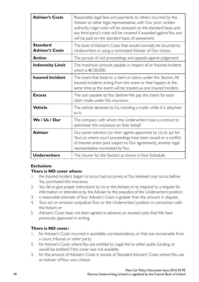| <b>Adviser's Costs</b>                    | Reasonable legal fees and payments to others incurred by the<br>Adviser or other legal representative, with Our prior written<br>authority. Legal costs will be assessed on the standard basis, and<br>any third party's costs will be covered if awarded against You and<br>will be paid on the standard basis of assessment. |
|-------------------------------------------|--------------------------------------------------------------------------------------------------------------------------------------------------------------------------------------------------------------------------------------------------------------------------------------------------------------------------------|
| <b>Standard</b><br><b>Adviser's Costs</b> | The level of Adviser's Costs that would normally be incurred by<br>Underwriters in using a nominated Adviser of Our choice.                                                                                                                                                                                                    |
| <b>Action</b>                             | The pursuit of civil proceedings and appeals against judgement.                                                                                                                                                                                                                                                                |
| <b>Indemnity Limit</b>                    | The maximum amount payable in respect of an Insured Incident,<br>which is $\in$ 100,000.                                                                                                                                                                                                                                       |
| <b>Insured Incident</b>                   | The event that leads to a claim or claims under this Section. All<br>Insured Incidents arising from the event or that happen at the<br>same time as the event will be treated as one Insured Incident                                                                                                                          |
| <b>Excess</b>                             | The sum payable by You (before We pay the claim) for each<br>claim made under this insurance.                                                                                                                                                                                                                                  |
| <b>Vehicle</b>                            | The vehicle declared to Us, including a trailer while it is attached<br>to it.                                                                                                                                                                                                                                                 |
| We / Us / Our                             | The company with whom the Underwriters have a contract to<br>administer this insurance on their behalf.                                                                                                                                                                                                                        |
| <b>Adviser</b>                            | Our panel solicitors (or their agents appointed by Us to act for<br>You) or, where court proceedings have been issued or a conflict<br>of interest arises (and subject to Our agreement), another legal<br>representative nominated by You.                                                                                    |
| <b>Underwriters</b>                       | The Insurer for this Section as shown in Your Schedule.                                                                                                                                                                                                                                                                        |

#### **Exclusions**

#### **There is NO cover where:**

- 1. the Insured Incident began to occur, had occurred, or You believed may occur, before You purchased this insurance;
- 2. You fail to give proper instructions to Us or the Adviser, or to respond to a request for information or attendance by the Adviser to the prejudice of the Underwriters' position;
- 3. a reasonable estimate of Your Adviser's Costs is greater than the amount in dispute;
- 4. Your act or omission prejudices Your or the Underwriters' position in connection with the Action; or
- 5. Adviser's Costs have not been agreed in advance, or exceed costs that We have previously approved in writing.

#### **There is NO cover:**

- 1. for Adviser's Costs incurred in avoidable correspondence, or that are recoverable from a court, tribunal, or other party;
- 2. for Adviser's Costs where You are entitled to Legal Aid or other public funding, or would be entitled if this cover was not available;
- 3. for the amount of Adviser's Costs in excess of Standard Advisers' Costs, where You use an Adviser of Your own choice;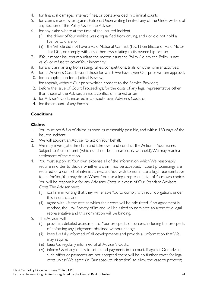- 4. for financial damages, interest, fines, or costs awarded in criminal courts;
- 5. for claims made by or against Patrona Underwriting Limited, any of the Underwriters of any Section of this Policy, Us, or the Adviser;
- 6. for any claim where at the time of the Insured Incident
	- (i) the driver of Your Vehicle was disqualified from driving, and / or did not hold a licence to drive, or
	- (ii) the Vehicle did not have a valid National Car Test (NCT) certificate or valid Motor Tax Disc, or comply with any other laws relating to its ownership or use;
- 7. if Your motor insurers repudiate the motor insurance Policy (i.e. say the Policy is not valid), or refuse to cover Your indemnity;
- 8. for any claim arising from racing, rallies, competitions, trials, or other similar activities;
- 9. for an Adviser's Costs beyond those for which We have given Our prior written approval;
- 10. for an application for a Judicial Review;
- 11. for appeals, without Our prior written consent to the Service Provider;
- 12. before the issue of Court Proceedings, for the costs of any legal representative other than those of the Adviser, unless a conflict of interest arises;
- 13. for Adviser's Costs incurred in a dispute over Adviser's Costs; or
- 14. for the amount of any Excess.

#### **Conditions**

#### **Claims**

- 1. You must notify Us of claims as soon as reasonably possible, and within 180 days of the Insured Incident.
- 2. We will appoint an Adviser to act on Your behalf.
- 3. We may investigate the claim and take over and conduct the Action in Your name. Subject to Your consent (which shall not be unreasonably withheld), We may reach a settlement of the Action.
- 4. You must supply at Your own expense all of the information which We reasonably require in order to decide whether a claim may be accepted. If court proceedings are required or a conflict of interest arises, and You wish to nominate a legal representative to act for You, You may do so. Where You use a legal representative of Your own choice, You will be responsible for any Adviser's Costs in excess of Our Standard Advisers' Costs. The Adviser must:
	- (i) confirm in writing that they will enable You to comply with Your obligations under this insurance, and
	- (ii) agree with Us the rate at which their costs will be calculated. If no agreement is reached, the Law Society of Ireland will be asked to nominate an alternative legal representative and this nomination will be binding.
- 5. The Adviser will:
	- (i) provide a detailed assessment of Your prospects of success, including the prospects of enforcing any judgement obtained without charge;
	- (ii) keep Us fully informed of all developments and provide all information that We may require;
	- (iii) keep Us regularly informed of all Adviser's Costs;
	- (iv) inform Us of any offers to settle and payments in to court. If, against Our advice, such offers or payments are not accepted, there will be no further cover for legal costs unless We agree (in Our absolute discretion) to allow the case to proceed;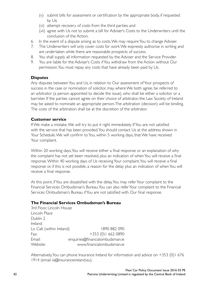- (v) submit bills for assessment or certification by the appropriate body, if requested by Us;
- (vi) attempt recovery of costs from the third parties; and
- (vii) agree with Us not to submit a bill for Adviser's Costs to the Underwriters until the conclusion of the Action.
- 6. In the event of a dispute arising as to costs, We may require You to change Adviser.
- 7. The Underwriters will only cover costs for work We expressly authorise in writing and are undertaken while there are reasonable prospects of success.
- 8. You shall supply all information requested by the Adviser and the Service Provider.
- 9. You are liable for the Adviser's Costs if You withdraw from the Action without Our permission. You must repay any costs that have already been paid by Us.

#### **Disputes**

Any disputes between You and Us, in relation to Our assessment of Your prospects of success in the case or nomination of solicitor, may, where We both agree, be referred to an arbitrator (a person appointed to decide the issue), who shall be either a solicitor or a barrister. If the parties cannot agree on their choice of arbitrator, the Law Society of Ireland may be asked to nominate an appropriate person. The arbitration (decision) will be binding. The costs of the arbitration shall be at the discretion of the arbitrator.

#### **Customer service**

If We make a mistake, We will try to put it right immediately. If You are not satisfied with the service that has been provided, You should contact Us at the address shown in Your Schedule. We will confirm to You, within 5 working days, that We have received Your complaint.

Within 20 working days, You will receive either a final response or an explanation of why the complaint has not yet been resolved, plus an indication of when You will receive a final response. Within 40 working days of Us receiving Your complaint, You will receive a final response or, if this is not possible, a reason for the delay plus an indication of when You will receive a final response.

At this point, if You are dissatisfied with the delay, You may refer Your complaint to the Financial Services Ombudsman's Bureau. You can also refer Your complaint to the Financial Services Ombudsman's Bureau if You are not satisfied with Our final response.

#### **The Financial Services Ombudsman's Bureau**

3rd Floor, Lincoln House Lincoln Place Dublin 2 Ireland Lo Call: (within Ireland) 1890 882 090 Fax: +353 (0) 1 662 0890 Email: enquiries@financialombudsman.ie Website: www.financialombudsman.ie

Alternatively, You can phone Insurance Ireland for information and advice on +353 (0)1 676 1914 (email iis@insuranceireland.eu).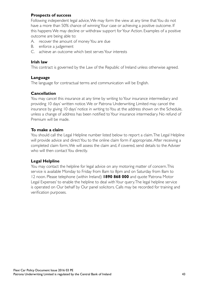#### **Prospects of success**

Following independent legal advice, We may form the view at any time that You do not have a more than 50% chance of winning Your case or achieving a positive outcome. If this happens We may decline or withdraw support for Your Action. Examples of a positive outcome are being able to:

- A. recover the amount of money You are due
- B. enforce a judgement
- C. achieve an outcome which best serves Your interests

#### **Irish law**

This contract is governed by the Law of the Republic of Ireland unless otherwise agreed.

#### **Language**

The language for contractual terms and communication will be English.

#### **Cancellation**

You may cancel this insurance at any time by writing to Your insurance intermediary and providing 10 days' written notice. We or Patrona Underwriting Limited may cancel the insurance by giving 10 days' notice in writing to You at the address shown on the Schedule, unless a change of address has been notified to Your insurance intermediary. No refund of Premium will be made.

#### **To make a claim**

You should call the Legal Helpline number listed below to report a claim. The Legal Helpline will provide advice and direct You to the online claim form if appropriate. After receiving a completed claim form, We will assess the claim and, if covered, send details to the Adviser who will then contact You directly.

#### **Legal Helpline**

You may contact the helpline for legal advice on any motoring matter of concern. This service is available Monday to Friday from 8am to 8pm and on Saturday from 8am to 12 noon. Please telephone (within Ireland) **1890 868 000** and quote 'Patrona Motor Legal Expenses' to enable the helpline to deal with Your query. The legal helpline service is operated on Our behalf by Our panel solicitors. Calls may be recorded for training and verification purposes.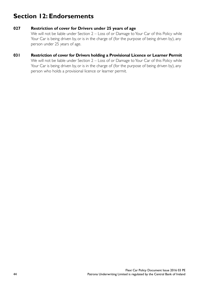### **Section 12: Endorsements**

#### **027 Restriction of cover for Drivers under 25 years of age**

We will not be liable under Section 2 – Loss of or Damage to Your Car of this Policy while Your Car is being driven by, or is in the charge of (for the purpose of being driven by), any person under 25 years of age.

#### **031 Restriction of cover for Drivers holding a Provisional Licence or Learner Permit**

We will not be liable under Section 2 – Loss of or Damage to Your Car of this Policy while Your Car is being driven by, or is in the charge of (for the purpose of being driven by), any person who holds a provisional licence or learner permit.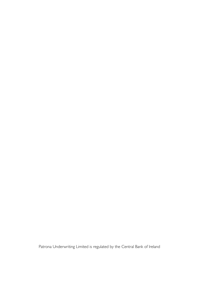Patrona Underwriting Limited is regulated by the Central Bank of Ireland